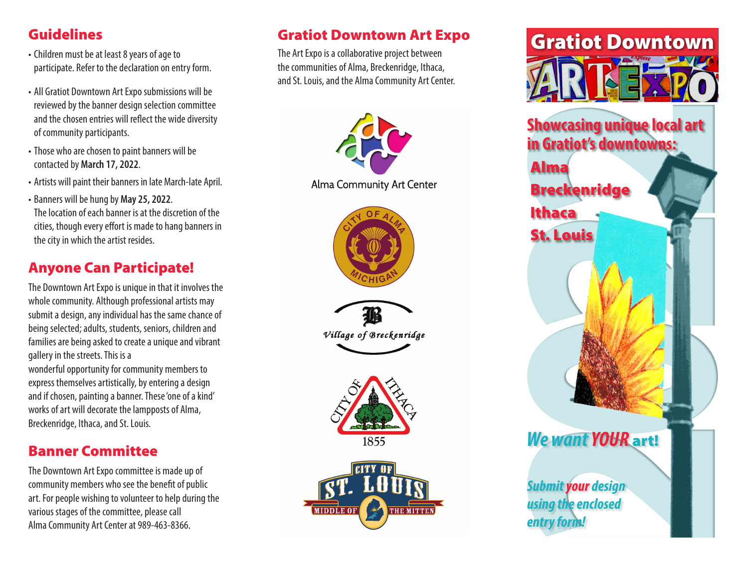## Guidelines

- Children must be at least 8 years of age to participate. Refer to the declaration on entry form.
- All Gratiot Downtown Art Expo submissions will be reviewed by the banner design selection committee and the chosen entries will reflect the wide diversity of community participants.
- Those who are chosen to paint banners will be contacted by **March 17, 2022**.
- Artists will paint their banners in late March-late April.
- Banners will be hung by **May 25, 2022**. The location of each banner is at the discretion of the cities, though every effort is made to hang banners in the city in which the artist resides.

# Anyone Can Participate!

The Downtown Art Expo is unique in that it involves the whole community. Although professional artists may submit a design, any individual has the same chance of being selected; adults, students, seniors, children and families are being asked to create a unique and vibrant gallery in the streets. This is a wonderful opportunity for community members to

express themselves artistically, by entering a design and if chosen, painting a banner. These 'one of a kind' works of art will decorate the lampposts of Alma, Breckenridge, Ithaca, and St. Louis.

## Banner Committee

The Downtown Art Expo committee is made up of community members who see the benefit of public art. For people wishing to volunteer to help during the various stages of the committee, please call Alma Community Art Center at 989-463-8366.

# Gratiot Downtown Art Expo

The Art Expo is a collaborative project between the communities of Alma, Breckenridge, Ithaca, and St. Louis, and the Alma Community Art Center.



Alma Community Art Center